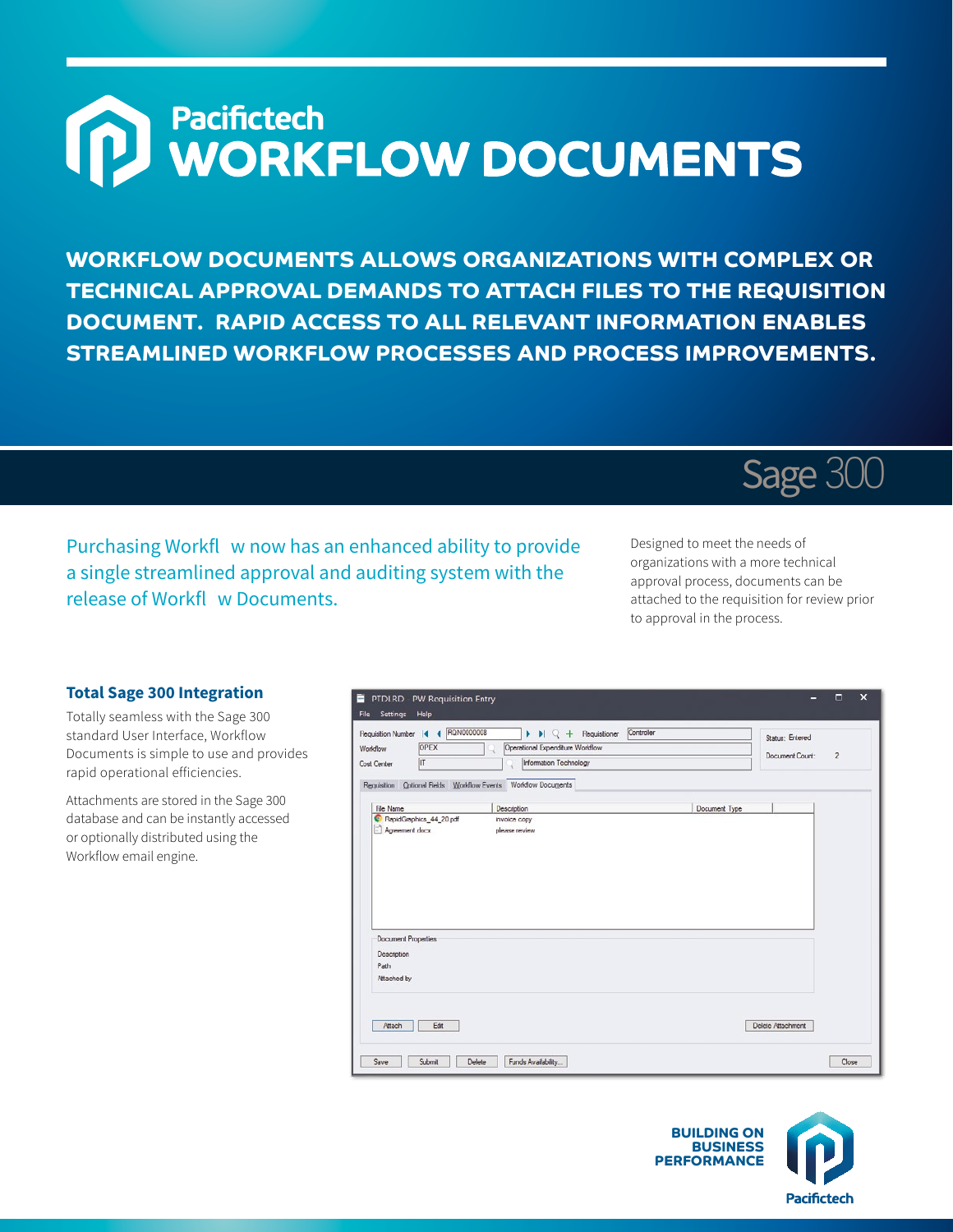## Pacifictech<br>WORKFLOW DOCUMENTS

**WORKFLOW DOCUMENTS ALLOWS ORGANIZATIONS WITH COMPLEX OR TECHNICAL APPROVAL DEMANDS TO ATTACH FILES TO THE REQUISITION DOCUMENT. RAPID ACCESS TO ALL RELEVANT INFORMATION ENABLES STREAMLINED WORKFLOW PROCESSES AND PROCESS IMPROVEMENTS.**

Purchasing Workfl w now has an enhanced ability to provide a single streamlined approval and auditing system with the release of Workfl w Documents.

Designed to meet the needs of organizations with a more technical approval process, documents can be attached to the requisition for review prior to approval in the process.

Sage 300

## **Total Sage 300 Integration**

Totally seamless with the Sage 300 standard User Interface, Workflow Documents is simple to use and provides rapid operational efficiencies.

Attachments are stored in the Sage 300 database and can be instantly accessed or optionally distributed using the Workflow email engine.

| Document Count:<br>IT<br>Information Technology<br>Cost Center<br>Document Type<br>Description | $\overline{2}$ |
|------------------------------------------------------------------------------------------------|----------------|
| Requisition Optional Fields Workflow Events Workflow Documents<br><b>File Name</b>             |                |
|                                                                                                |                |
|                                                                                                |                |
| RepidGraphics_44_20 pdf<br>invoice copy                                                        |                |
|                                                                                                |                |
| Agreement docx<br>please review                                                                |                |
|                                                                                                |                |
|                                                                                                |                |
|                                                                                                |                |
|                                                                                                |                |
|                                                                                                |                |
|                                                                                                |                |
|                                                                                                |                |
|                                                                                                |                |
|                                                                                                |                |
|                                                                                                |                |
|                                                                                                |                |
|                                                                                                |                |
| <b>Document Properties</b>                                                                     |                |
| Description                                                                                    |                |
| Path                                                                                           |                |
| <b>Attached by</b>                                                                             |                |
|                                                                                                |                |
|                                                                                                |                |
|                                                                                                |                |
|                                                                                                |                |